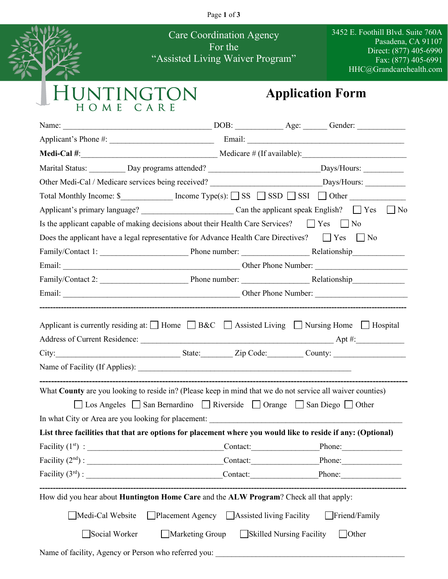Page **1** of **3**



Care Coordination Agency For the "Assisted Living Waiver Program" 3452 E. Foothill Blvd. Suite 760A Pasadena, CA 91107 Direct: (877) 405-6990 Fax: (877) 405-6991 HHC@Grandcarehealth.com

## UNTINGTON<br>HOME CARE

## **Application Form**

| Medi-Cal #: $\frac{1}{2}$ Medicare # (If available):                                                                                                                                                                                                                                                                                                                                                                   |                                          |                                                                                                                      |
|------------------------------------------------------------------------------------------------------------------------------------------------------------------------------------------------------------------------------------------------------------------------------------------------------------------------------------------------------------------------------------------------------------------------|------------------------------------------|----------------------------------------------------------------------------------------------------------------------|
| Marital Status: ____________ Day programs attended? ________________________________Days/Hours: ______________                                                                                                                                                                                                                                                                                                         |                                          |                                                                                                                      |
| Other Medi-Cal / Medicare services being received? _____________________________Days/Hours: __________________                                                                                                                                                                                                                                                                                                         |                                          |                                                                                                                      |
| Total Monthly Income: $\mathcal{S}$ [ncome Type(s): $\Box$ SS $\Box$ SSD $\Box$ SSI $\Box$ Other                                                                                                                                                                                                                                                                                                                       |                                          |                                                                                                                      |
|                                                                                                                                                                                                                                                                                                                                                                                                                        |                                          |                                                                                                                      |
| Is the applicant capable of making decisions about their Health Care Services? $\Box$ Yes $\Box$ No                                                                                                                                                                                                                                                                                                                    |                                          |                                                                                                                      |
| Does the applicant have a legal representative for Advance Health Care Directives? $\Box$ Yes $\Box$ No                                                                                                                                                                                                                                                                                                                |                                          |                                                                                                                      |
| Family/Contact 1: Phone number: Relationship                                                                                                                                                                                                                                                                                                                                                                           |                                          |                                                                                                                      |
|                                                                                                                                                                                                                                                                                                                                                                                                                        |                                          |                                                                                                                      |
|                                                                                                                                                                                                                                                                                                                                                                                                                        |                                          |                                                                                                                      |
|                                                                                                                                                                                                                                                                                                                                                                                                                        |                                          |                                                                                                                      |
| City: Current County: County: County: County: County: County: County: County: County: County: County: County: County: County: County: County: County: County: County: County: County: County: County: County: County: County:<br>What County are you looking to reside in? (Please keep in mind that we do not service all waiver counties)<br>□ Los Angeles □ San Bernardino □ Riverside □ Orange □ San Diego □ Other |                                          |                                                                                                                      |
| In what City or Area are you looking for placement: _____________________________                                                                                                                                                                                                                                                                                                                                      |                                          |                                                                                                                      |
| List three facilities that that are options for placement where you would like to reside if any: (Optional)                                                                                                                                                                                                                                                                                                            |                                          |                                                                                                                      |
|                                                                                                                                                                                                                                                                                                                                                                                                                        |                                          |                                                                                                                      |
|                                                                                                                                                                                                                                                                                                                                                                                                                        |                                          |                                                                                                                      |
|                                                                                                                                                                                                                                                                                                                                                                                                                        |                                          |                                                                                                                      |
| How did you hear about <b>Huntington Home Care</b> and the ALW Program? Check all that apply:                                                                                                                                                                                                                                                                                                                          |                                          |                                                                                                                      |
| $\Box$ Placement Agency $\Box$ Assisted living Facility<br>Medi-Cal Website                                                                                                                                                                                                                                                                                                                                            |                                          | $\Box$ Friend/Family                                                                                                 |
| Social Worker                                                                                                                                                                                                                                                                                                                                                                                                          | Marketing Group Skilled Nursing Facility | $\Box$ Other                                                                                                         |
| Name of facility, Agency or Person who referred you:                                                                                                                                                                                                                                                                                                                                                                   |                                          | <u> 1980 - Jan Barat, prima de la contrada de la contrada de la contrada de la contrada de la contrada de la con</u> |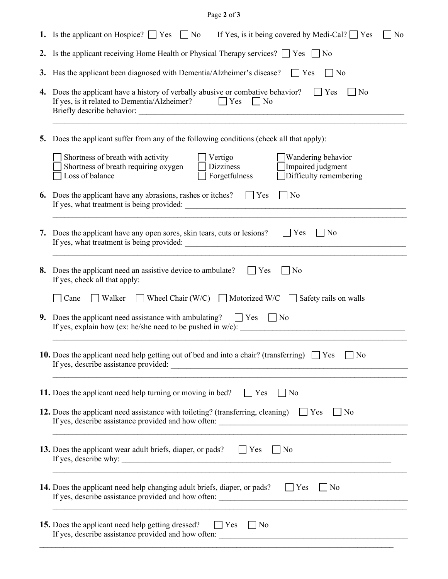## Page **2** of **3**

|    | 1. Is the applicant on Hospice? $\Box$ Yes $\Box$ No<br>If Yes, is it being covered by Medi-Cal? $\Box$ Yes<br>No                                                                                                 |  |  |  |  |  |
|----|-------------------------------------------------------------------------------------------------------------------------------------------------------------------------------------------------------------------|--|--|--|--|--|
|    | 2. Is the applicant receiving Home Health or Physical Therapy services? $\Box$ Yes $\Box$ No                                                                                                                      |  |  |  |  |  |
|    | 3. Has the applicant been diagnosed with Dementia/Alzheimer's disease?<br>$\Box$ Yes<br>$\vert$   No                                                                                                              |  |  |  |  |  |
|    | 4. Does the applicant have a history of verbally abusive or combative behavior?<br>$\vert$ Yes<br>$ $ No<br>If yes, is it related to Dementia/Alzheimer? $\Box$ Yes $\Box$ No                                     |  |  |  |  |  |
|    | 5. Does the applicant suffer from any of the following conditions (check all that apply):                                                                                                                         |  |  |  |  |  |
|    | Shortness of breath with activity<br>Vertigo<br>Wandering behavior<br>Shortness of breath requiring oxygen<br>Dizziness<br>Impaired judgment<br>$\Box$ Difficulty remembering<br>Forgetfulness<br>Loss of balance |  |  |  |  |  |
| 6. | Does the applicant have any abrasions, rashes or itches?<br>$\Box$ No<br>$\Box$ Yes                                                                                                                               |  |  |  |  |  |
|    | 7. Does the applicant have any open sores, skin tears, cuts or lesions? $\Box$ Yes<br>$\Box$ No                                                                                                                   |  |  |  |  |  |
|    | 8. Does the applicant need an assistive device to ambulate?<br>Yes<br>  No<br>If yes, check all that apply:                                                                                                       |  |  |  |  |  |
|    | Wheel Chair (W/C) Motorized W/C Safety rails on walls<br>Cane<br>Walker                                                                                                                                           |  |  |  |  |  |
|    | 9. Does the applicant need assistance with ambulating? $\Box$ Yes $\Box$ No                                                                                                                                       |  |  |  |  |  |
|    | 10. Does the applicant need help getting out of bed and into a chair? (transferring) $\Box$ Yes $\Box$ No                                                                                                         |  |  |  |  |  |
|    | 11. Does the applicant need help turning or moving in bed?<br>$\Box$ Yes<br>No                                                                                                                                    |  |  |  |  |  |
|    | 12. Does the applicant need assistance with toileting? (transferring, cleaning) $\Box$ Yes<br>$\vert$   No<br>,我们也不能在这里的时候,我们也不能在这里的时候,我们也不能在这里的时候,我们也不能会在这里的时候,我们也不能会在这里的时候,我们也不能会在这里的时候,我们也不                    |  |  |  |  |  |
|    | <b>13.</b> Does the applicant wear adult briefs, diaper, or pads? The State of No<br>If yes, describe why:                                                                                                        |  |  |  |  |  |
|    | <b>14.</b> Does the applicant need help changing adult briefs, diaper, or pads? $\Box$ Yes<br>$\vert$   No                                                                                                        |  |  |  |  |  |
|    | 15. Does the applicant need help getting dressed?<br>$ $   Yes<br>$\vert$   No                                                                                                                                    |  |  |  |  |  |